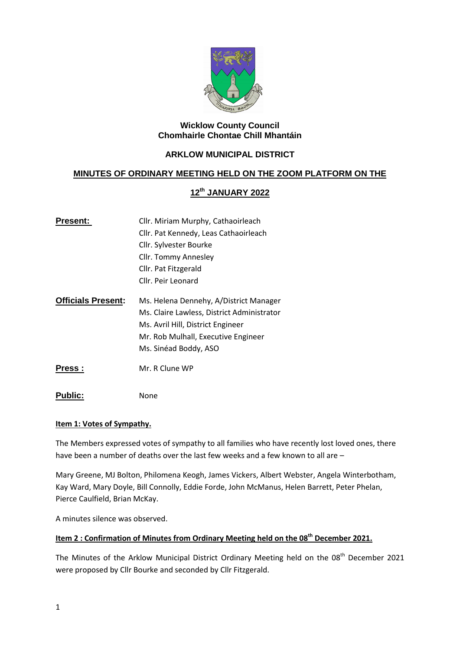

## **Wicklow County Council Chomhairle Chontae Chill Mhantáin**

## **ARKLOW MUNICIPAL DISTRICT**

## **MINUTES OF ORDINARY MEETING HELD ON THE ZOOM PLATFORM ON THE**

## **12th JANUARY 2022**

| Cllr. Miriam Murphy, Cathaoirleach         |
|--------------------------------------------|
| Cllr. Pat Kennedy, Leas Cathaoirleach      |
| Cllr. Sylvester Bourke                     |
| Cllr. Tommy Annesley                       |
| Cllr. Pat Fitzgerald                       |
| Cllr. Peir Leonard                         |
| Ms. Helena Dennehy, A/District Manager     |
| Ms. Claire Lawless, District Administrator |
| Ms. Avril Hill, District Engineer          |
| Mr. Rob Mulhall, Executive Engineer        |
| Ms. Sinéad Boddy, ASO                      |
| Mr. R Clune WP                             |
|                                            |

Public: None

#### **Item 1: Votes of Sympathy.**

The Members expressed votes of sympathy to all families who have recently lost loved ones, there have been a number of deaths over the last few weeks and a few known to all are –

Mary Greene, MJ Bolton, Philomena Keogh, James Vickers, Albert Webster, Angela Winterbotham, Kay Ward, Mary Doyle, Bill Connolly, Eddie Forde, John McManus, Helen Barrett, Peter Phelan, Pierce Caulfield, Brian McKay.

A minutes silence was observed.

# **Item 2 : Confirmation of Minutes from Ordinary Meeting held on the 08th December 2021.**

The Minutes of the Arklow Municipal District Ordinary Meeting held on the 08<sup>th</sup> December 2021 were proposed by Cllr Bourke and seconded by Cllr Fitzgerald.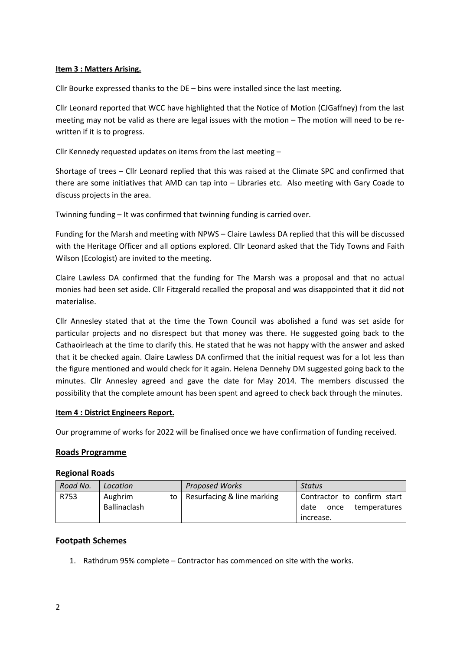## **Item 3 : Matters Arising.**

Cllr Bourke expressed thanks to the DE – bins were installed since the last meeting.

Cllr Leonard reported that WCC have highlighted that the Notice of Motion (CJGaffney) from the last meeting may not be valid as there are legal issues with the motion – The motion will need to be rewritten if it is to progress.

Cllr Kennedy requested updates on items from the last meeting –

Shortage of trees – Cllr Leonard replied that this was raised at the Climate SPC and confirmed that there are some initiatives that AMD can tap into – Libraries etc. Also meeting with Gary Coade to discuss projects in the area.

Twinning funding – It was confirmed that twinning funding is carried over.

Funding for the Marsh and meeting with NPWS – Claire Lawless DA replied that this will be discussed with the Heritage Officer and all options explored. Cllr Leonard asked that the Tidy Towns and Faith Wilson (Ecologist) are invited to the meeting.

Claire Lawless DA confirmed that the funding for The Marsh was a proposal and that no actual monies had been set aside. Cllr Fitzgerald recalled the proposal and was disappointed that it did not materialise.

Cllr Annesley stated that at the time the Town Council was abolished a fund was set aside for particular projects and no disrespect but that money was there. He suggested going back to the Cathaoirleach at the time to clarify this. He stated that he was not happy with the answer and asked that it be checked again. Claire Lawless DA confirmed that the initial request was for a lot less than the figure mentioned and would check for it again. Helena Dennehy DM suggested going back to the minutes. Cllr Annesley agreed and gave the date for May 2014. The members discussed the possibility that the complete amount has been spent and agreed to check back through the minutes.

#### **Item 4 : District Engineers Report.**

Our programme of works for 2022 will be finalised once we have confirmation of funding received.

#### **Roads Programme**

#### **Regional Roads**

| Road No. | Location                | <b>Proposed Works</b>             | Status                                                                   |
|----------|-------------------------|-----------------------------------|--------------------------------------------------------------------------|
| R753     | Aughrim<br>Ballinaclash | to   Resurfacing $&$ line marking | Contractor to confirm start<br>once<br>temperatures<br>date<br>increase. |

#### **Footpath Schemes**

1. Rathdrum 95% complete – Contractor has commenced on site with the works.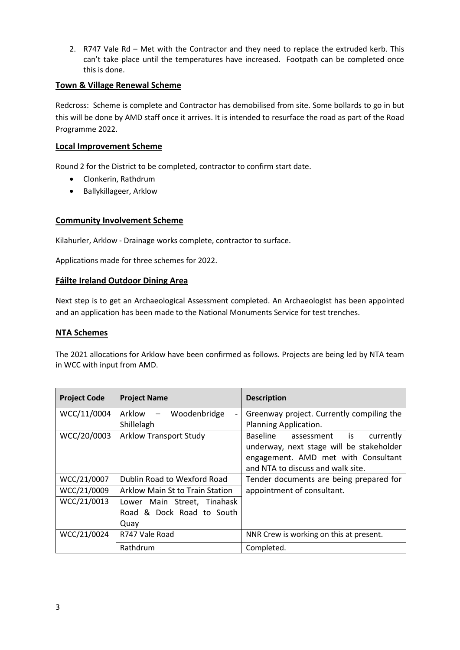2. R747 Vale Rd – Met with the Contractor and they need to replace the extruded kerb. This can't take place until the temperatures have increased. Footpath can be completed once this is done.

## **Town & Village Renewal Scheme**

Redcross: Scheme is complete and Contractor has demobilised from site. Some bollards to go in but this will be done by AMD staff once it arrives. It is intended to resurface the road as part of the Road Programme 2022.

### **Local Improvement Scheme**

Round 2 for the District to be completed, contractor to confirm start date.

- Clonkerin, Rathdrum
- Ballykillageer, Arklow

### **Community Involvement Scheme**

Kilahurler, Arklow - Drainage works complete, contractor to surface.

Applications made for three schemes for 2022.

### **Fáilte Ireland Outdoor Dining Area**

Next step is to get an Archaeological Assessment completed. An Archaeologist has been appointed and an application has been made to the National Monuments Service for test trenches.

#### **NTA Schemes**

The 2021 allocations for Arklow have been confirmed as follows. Projects are being led by NTA team in WCC with input from AMD.

| <b>Project Code</b> | <b>Project Name</b>                                      | <b>Description</b>                        |
|---------------------|----------------------------------------------------------|-------------------------------------------|
| WCC/11/0004         | Arklow –<br>Woodenbridge<br>$\qquad \qquad \blacksquare$ | Greenway project. Currently compiling the |
|                     | Shillelagh                                               | Planning Application.                     |
| WCC/20/0003         | <b>Arklow Transport Study</b>                            | Baseline<br>currently<br>assessment is    |
|                     |                                                          | underway, next stage will be stakeholder  |
|                     |                                                          | engagement. AMD met with Consultant       |
|                     |                                                          | and NTA to discuss and walk site.         |
| WCC/21/0007         | Dublin Road to Wexford Road                              | Tender documents are being prepared for   |
| WCC/21/0009         | Arklow Main St to Train Station                          | appointment of consultant.                |
| WCC/21/0013         | Lower Main Street, Tinahask                              |                                           |
|                     | Road & Dock Road to South                                |                                           |
|                     | Quay                                                     |                                           |
| WCC/21/0024         | R747 Vale Road                                           | NNR Crew is working on this at present.   |
|                     | Rathdrum                                                 | Completed.                                |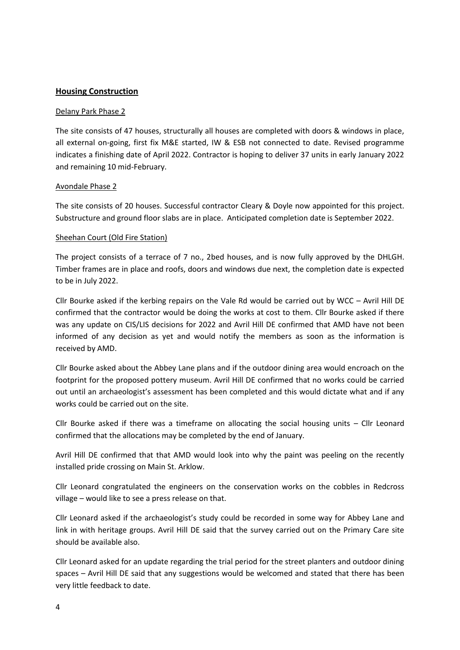## **Housing Construction**

#### Delany Park Phase 2

The site consists of 47 houses, structurally all houses are completed with doors & windows in place, all external on-going, first fix M&E started, IW & ESB not connected to date. Revised programme indicates a finishing date of April 2022. Contractor is hoping to deliver 37 units in early January 2022 and remaining 10 mid-February.

#### Avondale Phase 2

The site consists of 20 houses. Successful contractor Cleary & Doyle now appointed for this project. Substructure and ground floor slabs are in place. Anticipated completion date is September 2022.

#### Sheehan Court (Old Fire Station)

The project consists of a terrace of 7 no., 2bed houses, and is now fully approved by the DHLGH. Timber frames are in place and roofs, doors and windows due next, the completion date is expected to be in July 2022.

Cllr Bourke asked if the kerbing repairs on the Vale Rd would be carried out by WCC – Avril Hill DE confirmed that the contractor would be doing the works at cost to them. Cllr Bourke asked if there was any update on CIS/LIS decisions for 2022 and Avril Hill DE confirmed that AMD have not been informed of any decision as yet and would notify the members as soon as the information is received by AMD.

Cllr Bourke asked about the Abbey Lane plans and if the outdoor dining area would encroach on the footprint for the proposed pottery museum. Avril Hill DE confirmed that no works could be carried out until an archaeologist's assessment has been completed and this would dictate what and if any works could be carried out on the site.

Cllr Bourke asked if there was a timeframe on allocating the social housing units – Cllr Leonard confirmed that the allocations may be completed by the end of January.

Avril Hill DE confirmed that that AMD would look into why the paint was peeling on the recently installed pride crossing on Main St. Arklow.

Cllr Leonard congratulated the engineers on the conservation works on the cobbles in Redcross village – would like to see a press release on that.

Cllr Leonard asked if the archaeologist's study could be recorded in some way for Abbey Lane and link in with heritage groups. Avril Hill DE said that the survey carried out on the Primary Care site should be available also.

Cllr Leonard asked for an update regarding the trial period for the street planters and outdoor dining spaces – Avril Hill DE said that any suggestions would be welcomed and stated that there has been very little feedback to date.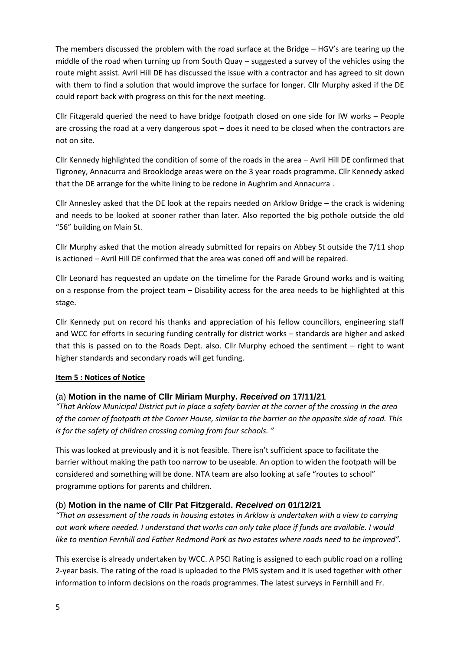The members discussed the problem with the road surface at the Bridge – HGV's are tearing up the middle of the road when turning up from South Quay – suggested a survey of the vehicles using the route might assist. Avril Hill DE has discussed the issue with a contractor and has agreed to sit down with them to find a solution that would improve the surface for longer. Cllr Murphy asked if the DE could report back with progress on this for the next meeting.

Cllr Fitzgerald queried the need to have bridge footpath closed on one side for IW works – People are crossing the road at a very dangerous spot – does it need to be closed when the contractors are not on site.

Cllr Kennedy highlighted the condition of some of the roads in the area – Avril Hill DE confirmed that Tigroney, Annacurra and Brooklodge areas were on the 3 year roads programme. Cllr Kennedy asked that the DE arrange for the white lining to be redone in Aughrim and Annacurra .

Cllr Annesley asked that the DE look at the repairs needed on Arklow Bridge – the crack is widening and needs to be looked at sooner rather than later. Also reported the big pothole outside the old "56" building on Main St.

Cllr Murphy asked that the motion already submitted for repairs on Abbey St outside the 7/11 shop is actioned – Avril Hill DE confirmed that the area was coned off and will be repaired.

Cllr Leonard has requested an update on the timelime for the Parade Ground works and is waiting on a response from the project team – Disability access for the area needs to be highlighted at this stage.

Cllr Kennedy put on record his thanks and appreciation of his fellow councillors, engineering staff and WCC for efforts in securing funding centrally for district works – standards are higher and asked that this is passed on to the Roads Dept. also. Cllr Murphy echoed the sentiment – right to want higher standards and secondary roads will get funding.

## **Item 5 : Notices of Notice**

## (a) **Motion in the name of Cllr Miriam Murphy.** *Received on* **17/11/21**

*"That Arklow Municipal District put in place a safety barrier at the corner of the crossing in the area of the corner of footpath at the Corner House, similar to the barrier on the opposite side of road. This is for the safety of children crossing coming from four schools. "*

This was looked at previously and it is not feasible. There isn't sufficient space to facilitate the barrier without making the path too narrow to be useable. An option to widen the footpath will be considered and something will be done. NTA team are also looking at safe "routes to school" programme options for parents and children.

## (b) **Motion in the name of Cllr Pat Fitzgerald.** *Received on* **01/12/21**

*"That an assessment of the roads in housing estates in Arklow is undertaken with a view to carrying out work where needed. I understand that works can only take place if funds are available. I would*  like to mention Fernhill and Father Redmond Park as two estates where roads need to be improved".

This exercise is already undertaken by WCC. A PSCI Rating is assigned to each public road on a rolling 2-year basis. The rating of the road is uploaded to the PMS system and it is used together with other information to inform decisions on the roads programmes. The latest surveys in Fernhill and Fr.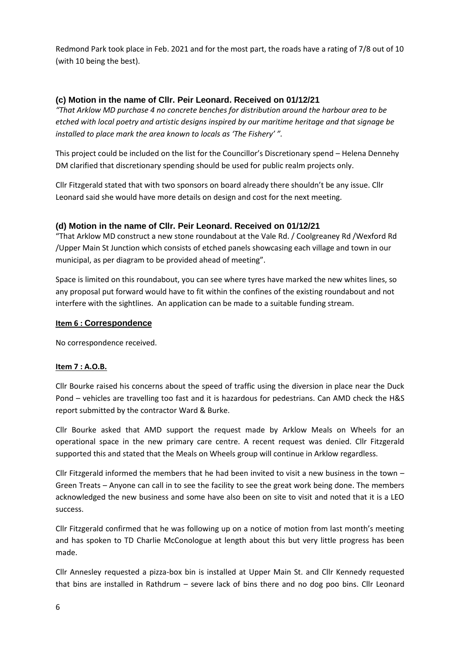Redmond Park took place in Feb. 2021 and for the most part, the roads have a rating of 7/8 out of 10 (with 10 being the best).

## **(c) Motion in the name of Cllr. Peir Leonard. Received on 01/12/21**

*"That Arklow MD purchase 4 no concrete benches for distribution around the harbour area to be etched with local poetry and artistic designs inspired by our maritime heritage and that signage be installed to place mark the area known to locals as 'The Fishery' ".*

This project could be included on the list for the Councillor's Discretionary spend – Helena Dennehy DM clarified that discretionary spending should be used for public realm projects only.

Cllr Fitzgerald stated that with two sponsors on board already there shouldn't be any issue. Cllr Leonard said she would have more details on design and cost for the next meeting.

## **(d) Motion in the name of Cllr. Peir Leonard. Received on 01/12/21**

"That Arklow MD construct a new stone roundabout at the Vale Rd. / Coolgreaney Rd /Wexford Rd /Upper Main St Junction which consists of etched panels showcasing each village and town in our municipal, as per diagram to be provided ahead of meeting".

Space is limited on this roundabout, you can see where tyres have marked the new whites lines, so any proposal put forward would have to fit within the confines of the existing roundabout and not interfere with the sightlines. An application can be made to a suitable funding stream.

## **Item 6 : Correspondence**

No correspondence received.

#### **Item 7 : A.O.B.**

Cllr Bourke raised his concerns about the speed of traffic using the diversion in place near the Duck Pond – vehicles are travelling too fast and it is hazardous for pedestrians. Can AMD check the H&S report submitted by the contractor Ward & Burke.

Cllr Bourke asked that AMD support the request made by Arklow Meals on Wheels for an operational space in the new primary care centre. A recent request was denied. Cllr Fitzgerald supported this and stated that the Meals on Wheels group will continue in Arklow regardless.

Cllr Fitzgerald informed the members that he had been invited to visit a new business in the town  $-$ Green Treats – Anyone can call in to see the facility to see the great work being done. The members acknowledged the new business and some have also been on site to visit and noted that it is a LEO success.

Cllr Fitzgerald confirmed that he was following up on a notice of motion from last month's meeting and has spoken to TD Charlie McConologue at length about this but very little progress has been made.

Cllr Annesley requested a pizza-box bin is installed at Upper Main St. and Cllr Kennedy requested that bins are installed in Rathdrum – severe lack of bins there and no dog poo bins. Cllr Leonard